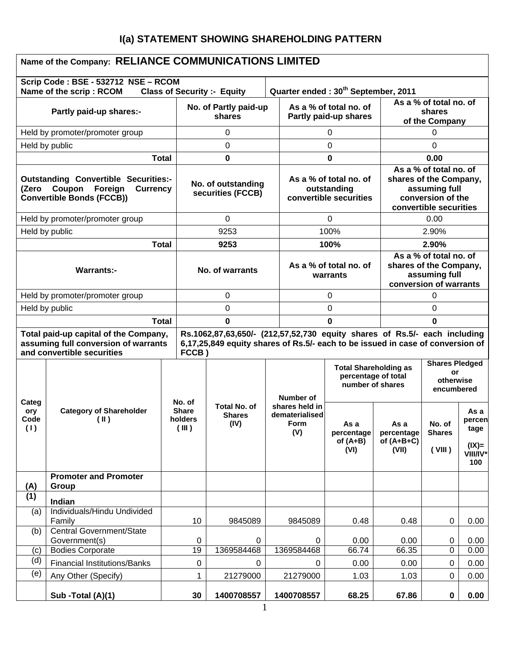# **I(a) STATEMENT SHOWING SHAREHOLDING PATTERN**

| Name of the Company: RELIANCE COMMUNICATIONS LIMITED                                                                             |                                                                |                                            |                                         |                                                                                                                                                             |                                    |                                                                 |                                                                                             |                                                        |                                                                                                                  |                                                      |
|----------------------------------------------------------------------------------------------------------------------------------|----------------------------------------------------------------|--------------------------------------------|-----------------------------------------|-------------------------------------------------------------------------------------------------------------------------------------------------------------|------------------------------------|-----------------------------------------------------------------|---------------------------------------------------------------------------------------------|--------------------------------------------------------|------------------------------------------------------------------------------------------------------------------|------------------------------------------------------|
|                                                                                                                                  | Scrip Code: BSE - 532712 NSE - RCOM<br>Name of the scrip: RCOM |                                            |                                         | <b>Class of Security :- Equity</b>                                                                                                                          |                                    |                                                                 | Quarter ended: 30 <sup>th</sup> September, 2011                                             |                                                        |                                                                                                                  |                                                      |
| Partly paid-up shares:-                                                                                                          |                                                                |                                            | No. of Partly paid-up<br>shares         |                                                                                                                                                             |                                    | As a % of total no. of<br>Partly paid-up shares                 |                                                                                             |                                                        | As a % of total no. of<br>shares<br>of the Company                                                               |                                                      |
|                                                                                                                                  | Held by promoter/promoter group                                |                                            |                                         | 0                                                                                                                                                           |                                    |                                                                 | 0                                                                                           |                                                        | 0                                                                                                                |                                                      |
| Held by public                                                                                                                   |                                                                |                                            |                                         | 0                                                                                                                                                           |                                    |                                                                 | 0                                                                                           |                                                        | 0                                                                                                                |                                                      |
|                                                                                                                                  |                                                                | <b>Total</b>                               |                                         | 0                                                                                                                                                           |                                    |                                                                 | 0                                                                                           |                                                        | 0.00                                                                                                             |                                                      |
| <b>Outstanding Convertible Securities:-</b><br>Foreign<br>Coupon<br><b>Currency</b><br>(Zero<br><b>Convertible Bonds (FCCB))</b> |                                                                |                                            | No. of outstanding<br>securities (FCCB) |                                                                                                                                                             |                                    | As a % of total no. of<br>outstanding<br>convertible securities |                                                                                             |                                                        | As a % of total no. of<br>shares of the Company,<br>assuming full<br>conversion of the<br>convertible securities |                                                      |
|                                                                                                                                  | Held by promoter/promoter group                                |                                            |                                         | 0                                                                                                                                                           |                                    |                                                                 | 0                                                                                           |                                                        | 0.00                                                                                                             |                                                      |
| Held by public                                                                                                                   |                                                                |                                            |                                         | 9253                                                                                                                                                        |                                    |                                                                 | 100%                                                                                        |                                                        | 2.90%                                                                                                            |                                                      |
|                                                                                                                                  | <b>Total</b>                                                   |                                            |                                         | 9253                                                                                                                                                        |                                    |                                                                 | 100%                                                                                        |                                                        | 2.90%                                                                                                            |                                                      |
| <b>Warrants:-</b>                                                                                                                |                                                                |                                            | No. of warrants                         |                                                                                                                                                             | As a % of total no. of<br>warrants |                                                                 | As a % of total no. of<br>shares of the Company,<br>assuming full<br>conversion of warrants |                                                        |                                                                                                                  |                                                      |
|                                                                                                                                  | Held by promoter/promoter group                                |                                            | 0                                       |                                                                                                                                                             |                                    | 0                                                               |                                                                                             | 0                                                      |                                                                                                                  |                                                      |
| Held by public                                                                                                                   |                                                                |                                            | $\Omega$                                |                                                                                                                                                             |                                    | $\Omega$                                                        |                                                                                             | 0                                                      |                                                                                                                  |                                                      |
| <b>Total</b>                                                                                                                     |                                                                |                                            | 0                                       |                                                                                                                                                             |                                    | 0                                                               |                                                                                             | 0                                                      |                                                                                                                  |                                                      |
| Total paid-up capital of the Company,<br>assuming full conversion of warrants<br>and convertible securities                      |                                                                |                                            | FCCB)                                   | Rs.1062,87,63,650/- (212,57,52,730 equity shares of Rs.5/- each including<br>6,17,25,849 equity shares of Rs.5/- each to be issued in case of conversion of |                                    |                                                                 |                                                                                             |                                                        |                                                                                                                  |                                                      |
|                                                                                                                                  |                                                                |                                            |                                         |                                                                                                                                                             |                                    | Number of                                                       | <b>Total Shareholding as</b><br>percentage of total<br>number of shares                     | <b>Shares Pledged</b><br>or<br>otherwise<br>encumbered |                                                                                                                  |                                                      |
| Categ<br>ory<br>Code<br>(1)                                                                                                      | <b>Category of Shareholder</b><br>$(\parallel)$                | No. of<br><b>Share</b><br>holders<br>(III) |                                         | Total No. of<br><b>Shares</b><br>(IV)                                                                                                                       |                                    | shares held in<br>dematerialised<br>Form<br>(V)                 | As a<br>percentage<br>of $(A+B)$<br>(VI)                                                    | As a<br>percentage<br>of $(A+B+C)$<br>(VII)            | No. of<br><b>Shares</b><br>(VIII)                                                                                | As a<br>percen<br>tage<br>$(IX)=$<br>VIII/IV*<br>100 |
| (A)                                                                                                                              | <b>Promoter and Promoter</b><br>Group                          |                                            |                                         |                                                                                                                                                             |                                    |                                                                 |                                                                                             |                                                        |                                                                                                                  |                                                      |
| (1)                                                                                                                              | Indian                                                         |                                            |                                         |                                                                                                                                                             |                                    |                                                                 |                                                                                             |                                                        |                                                                                                                  |                                                      |
| (a)                                                                                                                              | Individuals/Hindu Undivided<br>Family                          |                                            | 10                                      | 9845089                                                                                                                                                     |                                    | 9845089                                                         | 0.48                                                                                        | 0.48                                                   | 0                                                                                                                | 0.00                                                 |
| (b)                                                                                                                              | <b>Central Government/State</b>                                |                                            |                                         |                                                                                                                                                             |                                    |                                                                 |                                                                                             |                                                        |                                                                                                                  |                                                      |
| (c)                                                                                                                              | Government(s)<br><b>Bodies Corporate</b>                       |                                            | 0<br>19                                 | 0<br>1369584468                                                                                                                                             |                                    | 0<br>1369584468                                                 | 0.00<br>66.74                                                                               | 0.00<br>66.35                                          | $\mathbf 0$<br>$\mathbf 0$                                                                                       | 0.00<br>0.00                                         |
| (d)                                                                                                                              | <b>Financial Institutions/Banks</b>                            |                                            | 0                                       | 0                                                                                                                                                           |                                    | 0                                                               | 0.00                                                                                        | 0.00                                                   | 0                                                                                                                | 0.00                                                 |
| (e)                                                                                                                              | Any Other (Specify)                                            |                                            | 1                                       | 21279000                                                                                                                                                    |                                    | 21279000                                                        | 1.03                                                                                        | 1.03                                                   | $\mathbf 0$                                                                                                      | 0.00                                                 |
|                                                                                                                                  | Sub - Total (A)(1)                                             |                                            | 30                                      | 1400708557                                                                                                                                                  |                                    | 1400708557                                                      | 68.25                                                                                       | 67.86                                                  | $\mathbf 0$                                                                                                      | 0.00                                                 |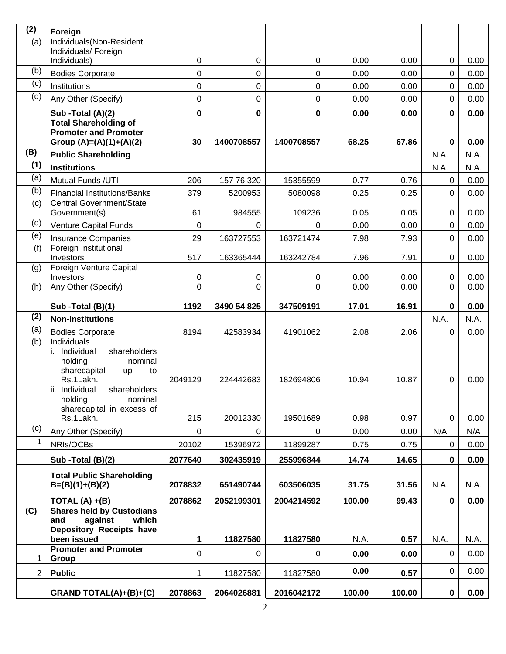| (2)            | Foreign                                                     |                  |             |               |              |              |             |              |
|----------------|-------------------------------------------------------------|------------------|-------------|---------------|--------------|--------------|-------------|--------------|
| (a)            | Individuals(Non-Resident                                    |                  |             |               |              |              |             |              |
|                | Individuals/ Foreign<br>Individuals)                        | 0                | 0           | 0             | 0.00         | 0.00         | 0           | 0.00         |
| (b)            | <b>Bodies Corporate</b>                                     | 0                | 0           | 0             | 0.00         | 0.00         | 0           | 0.00         |
| (c)            | Institutions                                                | 0                | 0           | 0             | 0.00         | 0.00         | $\mathbf 0$ | 0.00         |
| (d)            | Any Other (Specify)                                         | 0                | 0           | $\mathbf 0$   | 0.00         | 0.00         | $\mathbf 0$ | 0.00         |
|                |                                                             |                  |             |               |              |              |             |              |
|                | Sub -Total (A)(2)<br><b>Total Shareholding of</b>           | $\bf{0}$         | $\pmb{0}$   | 0             | 0.00         | 0.00         | $\pmb{0}$   | 0.00         |
|                | <b>Promoter and Promoter</b><br>Group $(A)=(A)(1)+(A)(2)$   | 30               | 1400708557  | 1400708557    | 68.25        | 67.86        | $\mathbf 0$ | 0.00         |
| (B)            | <b>Public Shareholding</b>                                  |                  |             |               |              |              | N.A.        | N.A.         |
| (1)            | <b>Institutions</b>                                         |                  |             |               |              |              | N.A.        | N.A.         |
| (a)            | Mutual Funds /UTI                                           | 206              | 157 76 320  | 15355599      | 0.77         | 0.76         | $\mathbf 0$ | 0.00         |
| (b)            | <b>Financial Institutions/Banks</b>                         | 379              | 5200953     | 5080098       | 0.25         | 0.25         | $\mathbf 0$ | 0.00         |
| (c)            | Central Government/State                                    |                  |             |               |              |              |             |              |
| (d)            | Government(s)                                               | 61               | 984555      | 109236        | 0.05         | 0.05         | 0           | 0.00         |
| (e)            | Venture Capital Funds                                       | 0                | 0           | $\Omega$      | 0.00         | 0.00         | $\mathbf 0$ | 0.00         |
| (f)            | <b>Insurance Companies</b><br>Foreign Institutional         | 29               | 163727553   | 163721474     | 7.98         | 7.93         | $\mathbf 0$ | 0.00         |
|                | Investors                                                   | 517              | 163365444   | 163242784     | 7.96         | 7.91         | 0           | 0.00         |
| (g)            | Foreign Venture Capital                                     |                  |             |               |              |              |             |              |
| (h)            | Investors<br>Any Other (Specify)                            | 0<br>$\mathbf 0$ | 0<br>0      | 0<br>$\Omega$ | 0.00<br>0.00 | 0.00<br>0.00 | 0<br>0      | 0.00<br>0.00 |
|                |                                                             |                  |             |               |              |              |             |              |
|                | Sub -Total (B)(1)                                           | 1192             | 3490 54 825 | 347509191     | 17.01        | 16.91        | $\mathbf 0$ | 0.00         |
| (2)            | <b>Non-Institutions</b>                                     |                  |             |               |              |              | N.A.        | N.A.         |
| (a)            | <b>Bodies Corporate</b>                                     | 8194             | 42583934    | 41901062      | 2.08         | 2.06         | $\mathbf 0$ | 0.00         |
| (b)            | Individuals<br>i. Individual<br>shareholders                |                  |             |               |              |              |             |              |
|                | holding<br>nominal                                          |                  |             |               |              |              |             |              |
|                | sharecapital<br>to<br>up                                    |                  |             |               |              |              |             |              |
|                | Rs.1Lakh.<br>shareholders<br>ii.<br>Individual              | 2049129          | 224442683   | 182694806     | 10.94        | 10.87        | 0           | 0.00         |
|                | holding<br>nominal                                          |                  |             |               |              |              |             |              |
|                | sharecapital in excess of                                   |                  |             |               |              |              |             |              |
| (c)            | Rs.1Lakh.                                                   | 215              | 20012330    | 19501689      | 0.98         | 0.97         | $\mathbf 0$ | 0.00         |
| $\mathbf{1}$   | Any Other (Specify)                                         | 0                | $\Omega$    | $\mathbf 0$   | 0.00         | 0.00         | N/A         | N/A          |
|                | NRIs/OCBs                                                   | 20102            | 15396972    | 11899287      | 0.75         | 0.75         | 0           | 0.00         |
|                | Sub -Total (B)(2)                                           | 2077640          | 302435919   | 255996844     | 14.74        | 14.65        | 0           | 0.00         |
|                | <b>Total Public Shareholding</b>                            |                  |             |               |              |              |             |              |
|                | $B=(B)(1)+(B)(2)$                                           | 2078832          | 651490744   | 603506035     | 31.75        | 31.56        | N.A.        | N.A.         |
|                | TOTAL $(A) + (B)$                                           | 2078862          | 2052199301  | 2004214592    | 100.00       | 99.43        | $\mathbf 0$ | 0.00         |
| (C)            | <b>Shares held by Custodians</b><br>against<br>which<br>and |                  |             |               |              |              |             |              |
|                | Depository Receipts have                                    |                  |             |               |              |              |             |              |
|                | been issued                                                 | 1                | 11827580    | 11827580      | N.A.         | 0.57         | N.A.        | N.A.         |
| 1              | <b>Promoter and Promoter</b><br>Group                       | 0                | $\mathbf 0$ | 0             | 0.00         | 0.00         | $\mathbf 0$ | 0.00         |
| $\overline{2}$ | <b>Public</b>                                               | 1                | 11827580    | 11827580      | 0.00         | 0.57         | $\mathbf 0$ | 0.00         |
|                | GRAND TOTAL(A)+(B)+(C)                                      | 2078863          | 2064026881  | 2016042172    | 100.00       | 100.00       | $\pmb{0}$   | 0.00         |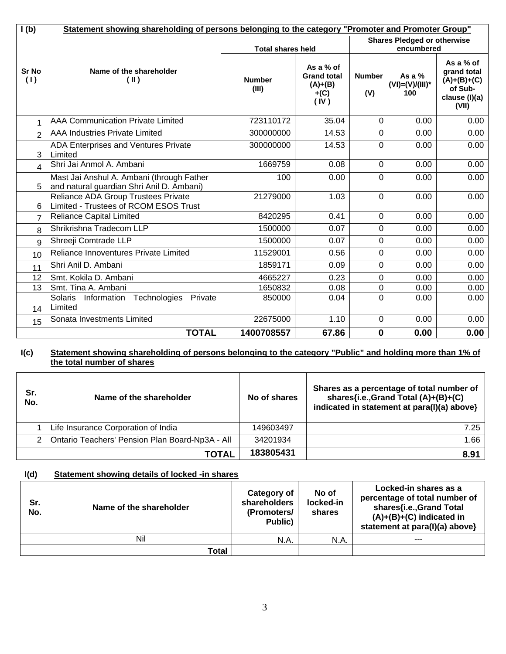| I(b)                | Statement showing shareholding of persons belonging to the category "Promoter and Promoter Group" |                          |                                                                |                      |                                         |                                                                                |
|---------------------|---------------------------------------------------------------------------------------------------|--------------------------|----------------------------------------------------------------|----------------------|-----------------------------------------|--------------------------------------------------------------------------------|
|                     |                                                                                                   | <b>Total shares held</b> | <b>Shares Pledged or otherwise</b><br>encumbered               |                      |                                         |                                                                                |
| <b>Sr No</b><br>(1) | Name of the shareholder<br>$(\parallel)$                                                          | <b>Number</b><br>(III)   | As a % of<br><b>Grand total</b><br>$(A)+(B)$<br>$+(C)$<br>(IV) | <b>Number</b><br>(V) | As a $%$<br>$(VI) = (V)/(III)^*$<br>100 | As a % of<br>grand total<br>$(A)+(B)+(C)$<br>of Sub-<br>clause (I)(a)<br>(VII) |
| 1                   | <b>AAA Communication Private Limited</b>                                                          | 723110172                | 35.04                                                          | $\Omega$             | 0.00                                    | 0.00                                                                           |
| $\overline{2}$      | <b>AAA Industries Private Limited</b>                                                             | 300000000                | 14.53                                                          | $\mathbf 0$          | 0.00                                    | 0.00                                                                           |
| 3                   | ADA Enterprises and Ventures Private<br>Limited                                                   | 300000000                | 14.53                                                          | $\mathbf 0$          | 0.00                                    | 0.00                                                                           |
| 4                   | Shri Jai Anmol A. Ambani                                                                          | 1669759                  | 0.08                                                           | $\Omega$             | 0.00                                    | 0.00                                                                           |
| 5                   | Mast Jai Anshul A. Ambani (through Father<br>and natural guardian Shri Anil D. Ambani)            | 100                      | 0.00                                                           | $\Omega$             | 0.00                                    | 0.00                                                                           |
| 6                   | Reliance ADA Group Trustees Private<br>Limited - Trustees of RCOM ESOS Trust                      | 21279000                 | 1.03                                                           | $\Omega$             | 0.00                                    | 0.00                                                                           |
| 7                   | <b>Reliance Capital Limited</b>                                                                   | 8420295                  | 0.41                                                           | $\overline{0}$       | 0.00                                    | 0.00                                                                           |
| 8                   | Shrikrishna Tradecom LLP                                                                          | 1500000                  | 0.07                                                           | $\Omega$             | 0.00                                    | 0.00                                                                           |
| 9                   | Shreeji Comtrade LLP                                                                              | 1500000                  | 0.07                                                           | $\mathbf 0$          | 0.00                                    | 0.00                                                                           |
| 10                  | Reliance Innoventures Private Limited                                                             | 11529001                 | 0.56                                                           | $\Omega$             | 0.00                                    | 0.00                                                                           |
| 11                  | Shri Anil D. Ambani                                                                               | 1859171                  | 0.09                                                           | $\overline{0}$       | 0.00                                    | 0.00                                                                           |
| 12                  | Smt. Kokila D. Ambani                                                                             | 4665227                  | 0.23                                                           | $\mathbf 0$          | 0.00                                    | 0.00                                                                           |
| 13                  | Smt. Tina A. Ambani                                                                               | 1650832                  | 0.08                                                           | $\mathbf 0$          | 0.00                                    | 0.00                                                                           |
| 14                  | Solaris<br>Technologies<br>Information<br>Private<br>Limited                                      | 850000                   | 0.04                                                           | $\Omega$             | 0.00                                    | 0.00                                                                           |
| 15                  | Sonata Investments Limited                                                                        | 22675000                 | 1.10                                                           | $\Omega$             | 0.00                                    | 0.00                                                                           |
|                     | <b>TOTAL</b>                                                                                      | 1400708557               | 67.86                                                          | $\mathbf 0$          | 0.00                                    | 0.00                                                                           |

#### **I(c) Statement showing shareholding of persons belonging to the category "Public" and holding more than 1% of the total number of shares**

| Sr.<br>No. | Name of the shareholder                         | No of shares | Shares as a percentage of total number of<br>shares{i.e.,Grand Total (A)+(B)+(C)<br>indicated in statement at para(I)(a) above} |
|------------|-------------------------------------------------|--------------|---------------------------------------------------------------------------------------------------------------------------------|
|            | Life Insurance Corporation of India             | 149603497    | 7.25                                                                                                                            |
| 2          | Ontario Teachers' Pension Plan Board-Np3A - All | 34201934     | 1.66                                                                                                                            |
|            | TOTAL                                           | 183805431    | 8.91                                                                                                                            |

## **I(d) Statement showing details of locked -in shares**

| Sr.<br>No. | Name of the shareholder | Category of<br>shareholders<br>(Promoters/<br>Public) | No of<br>locked-in<br>shares | Locked-in shares as a<br>percentage of total number of<br>shares{i.e., Grand Total<br>$(A)+(B)+(C)$ indicated in<br>statement at para(I)(a) above} |
|------------|-------------------------|-------------------------------------------------------|------------------------------|----------------------------------------------------------------------------------------------------------------------------------------------------|
|            | Nil                     | N.A.                                                  | N.A.                         | $---$                                                                                                                                              |
|            | Total                   |                                                       |                              |                                                                                                                                                    |